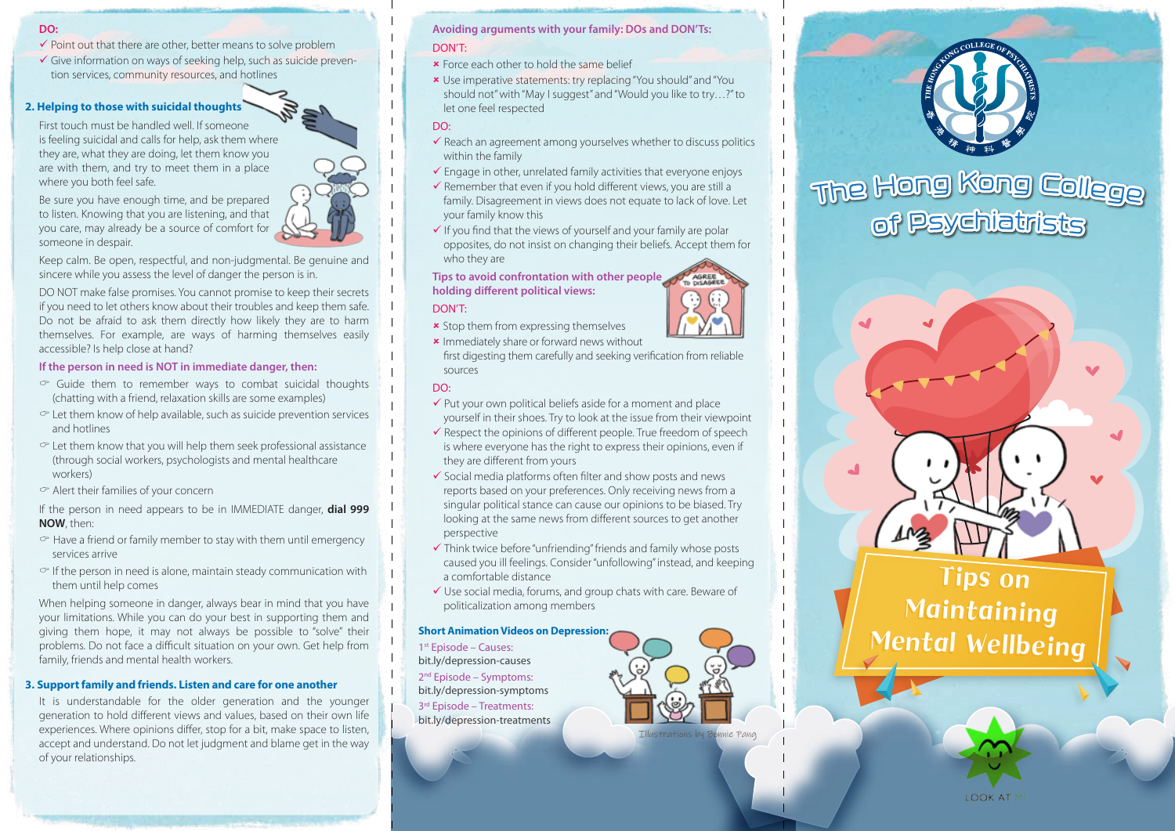### **DO:**

- $\checkmark$  Point out that there are other, better means to solve problem
- Give information on ways of seeking help, such as suicide prevention services, community resources, and hotlines

#### **2. Helping to those with suicidal thoughts**

First touch must be handled well. If someone is feeling suicidal and calls for help, ask them where they are, what they are doing, let them know you are with them, and try to meet them in a place where you both feel safe.

Be sure you have enough time, and be prepared to listen. Knowing that you are listening, and that you care, may already be a source of comfort for someone in despair.



Keep calm. Be open, respectful, and non-judgmental. Be genuine and sincere while you assess the level of danger the person is in.

DO NOT make false promises. You cannot promise to keep their secrets if you need to let others know about their troubles and keep them safe. Do not be afraid to ask them directly how likely they are to harm themselves. For example, are ways of harming themselves easily accessible? Is help close at hand?

## **If the person in need is NOT in immediate danger, then:**

- $\degree$  Guide them to remember ways to combat suicidal thoughts (chatting with a friend, relaxation skills are some examples)
- $\degree$  Let them know of help available, such as suicide prevention services and hotlines
- $\degree$  Let them know that you will help them seek professional assistance (through social workers, psychologists and mental healthcare workers)
- $\degree$  Alert their families of your concern

If the person in need appears to be in IMMEDIATE danger, **dial 999 NOW**, then:

- $\circ$  Have a friend or family member to stay with them until emergency services arrive
- $\circ$  If the person in need is alone, maintain steady communication with them until help comes

When helping someone in danger, always bear in mind that you have your limitations. While you can do your best in supporting them and giving them hope, it may not always be possible to "solve" their problems. Do not face a difficult situation on your own. Get help from family, friends and mental health workers.

## **3. Support family and friends. Listen and care for one another**

It is understandable for the older generation and the younger generation to hold different views and values, based on their own life experiences. Where opinions differ, stop for a bit, make space to listen, accept and understand. Do not let judgment and blame get in the way of your relationships.

# **Avoiding arguments with your family: DOs and DON'Ts:**  DON'T:

- **\*** Force each other to hold the same belief
- Use imperative statements: try replacing "You should" and "You should not" with "May I suggest" and "Would you like to try…?" to let one feel respected

# DO:

- $\checkmark$  Reach an agreement among yourselves whether to discuss politics within the family
- $\checkmark$  Engage in other, unrelated family activities that everyone enjoys
- $\checkmark$  Remember that even if you hold different views, you are still a family. Disagreement in views does not equate to lack of love. Let your family know this
- $\checkmark$  If you find that the views of yourself and your family are polar opposites, do not insist on changing their beliefs. Accept them for who they are

# **Tips to avoid confrontation with other people holding different political views:**

## DON'T:

- **\*** Stop them from expressing themselves
- **\*** Immediately share or forward news without first digesting them carefully and seeking verification from reliable sources

# DO:

- $\checkmark$  Put your own political beliefs aside for a moment and place yourself in their shoes. Try to look at the issue from their viewpoint
- $\checkmark$  Respect the opinions of different people. True freedom of speech is where everyone has the right to express their opinions, even if they are different from yours
- $\checkmark$  Social media platforms often filter and show posts and news reports based on your preferences. Only receiving news from a singular political stance can cause our opinions to be biased. Try looking at the same news from different sources to get another perspective
- Think twice before "unfriending" friends and family whose posts caused you ill feelings. Consider "unfollowing" instead, and keeping a comfortable distance
- Use social media, forums, and group chats with care. Beware of politicalization among members

## **Short Animation Videos on Depression:**

1st Episode – Causes: bit.ly/depression-causes

2nd Episode – Symptoms: bit.ly/depression-symptoms 3rd Episode – Treatments: bit.ly/depression-treatments









Illustrations by Bonnie Pang